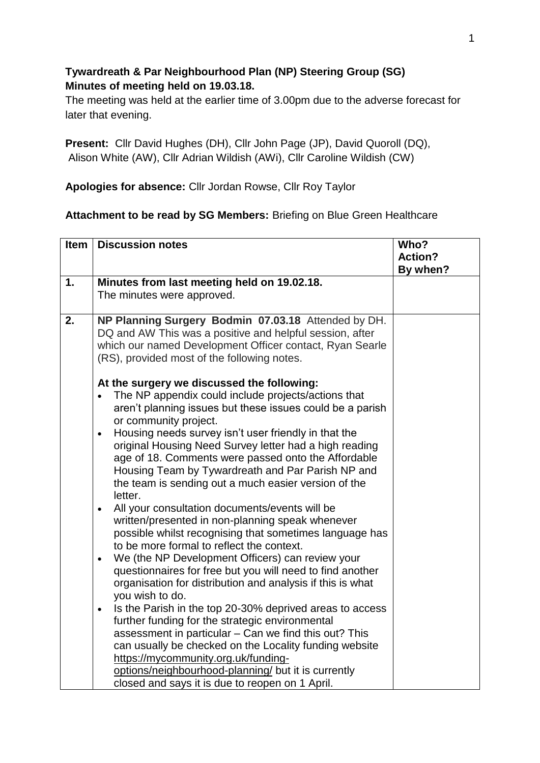## **Tywardreath & Par Neighbourhood Plan (NP) Steering Group (SG) Minutes of meeting held on 19.03.18.**

The meeting was held at the earlier time of 3.00pm due to the adverse forecast for later that evening.

**Present:** Cllr David Hughes (DH), Cllr John Page (JP), David Quoroll (DQ), Alison White (AW), Cllr Adrian Wildish (AWi), Cllr Caroline Wildish (CW)

**Apologies for absence:** Cllr Jordan Rowse, Cllr Roy Taylor

## **Attachment to be read by SG Members:** Briefing on Blue Green Healthcare

| <b>Item</b> | <b>Discussion notes</b>                                                                                                 | Who?           |
|-------------|-------------------------------------------------------------------------------------------------------------------------|----------------|
|             |                                                                                                                         | <b>Action?</b> |
|             |                                                                                                                         | By when?       |
| 1.          | Minutes from last meeting held on 19.02.18.                                                                             |                |
|             | The minutes were approved.                                                                                              |                |
|             |                                                                                                                         |                |
| 2.          | NP Planning Surgery Bodmin 07.03.18 Attended by DH.                                                                     |                |
|             | DQ and AW This was a positive and helpful session, after                                                                |                |
|             | which our named Development Officer contact, Ryan Searle                                                                |                |
|             | (RS), provided most of the following notes.                                                                             |                |
|             | At the surgery we discussed the following:                                                                              |                |
|             | The NP appendix could include projects/actions that                                                                     |                |
|             | aren't planning issues but these issues could be a parish                                                               |                |
|             | or community project.                                                                                                   |                |
|             | Housing needs survey isn't user friendly in that the                                                                    |                |
|             | original Housing Need Survey letter had a high reading                                                                  |                |
|             | age of 18. Comments were passed onto the Affordable                                                                     |                |
|             | Housing Team by Tywardreath and Par Parish NP and                                                                       |                |
|             | the team is sending out a much easier version of the                                                                    |                |
|             | letter.                                                                                                                 |                |
|             | All your consultation documents/events will be<br>$\bullet$                                                             |                |
|             | written/presented in non-planning speak whenever                                                                        |                |
|             | possible whilst recognising that sometimes language has                                                                 |                |
|             | to be more formal to reflect the context.                                                                               |                |
|             | We (the NP Development Officers) can review your<br>$\bullet$                                                           |                |
|             | questionnaires for free but you will need to find another<br>organisation for distribution and analysis if this is what |                |
|             | you wish to do.                                                                                                         |                |
|             | Is the Parish in the top 20-30% deprived areas to access<br>$\bullet$                                                   |                |
|             | further funding for the strategic environmental                                                                         |                |
|             | assessment in particular - Can we find this out? This                                                                   |                |
|             | can usually be checked on the Locality funding website                                                                  |                |
|             | https://mycommunity.org.uk/funding-                                                                                     |                |
|             | options/neighbourhood-planning/ but it is currently                                                                     |                |
|             | closed and says it is due to reopen on 1 April.                                                                         |                |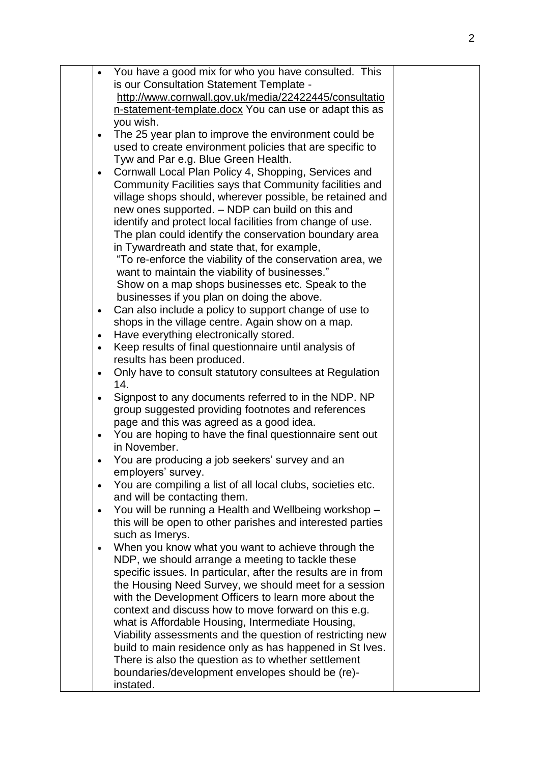| You have a good mix for who you have consulted. This<br>$\bullet$                           |  |
|---------------------------------------------------------------------------------------------|--|
| is our Consultation Statement Template -                                                    |  |
| http://www.cornwall.gov.uk/media/22422445/consultatio                                       |  |
| n-statement-template.docx You can use or adapt this as                                      |  |
| you wish.                                                                                   |  |
| The 25 year plan to improve the environment could be<br>$\bullet$                           |  |
| used to create environment policies that are specific to                                    |  |
| Tyw and Par e.g. Blue Green Health.<br>Cornwall Local Plan Policy 4, Shopping, Services and |  |
| $\bullet$<br>Community Facilities says that Community facilities and                        |  |
| village shops should, wherever possible, be retained and                                    |  |
| new ones supported. - NDP can build on this and                                             |  |
| identify and protect local facilities from change of use.                                   |  |
| The plan could identify the conservation boundary area                                      |  |
| in Tywardreath and state that, for example,                                                 |  |
| "To re-enforce the viability of the conservation area, we                                   |  |
| want to maintain the viability of businesses."                                              |  |
| Show on a map shops businesses etc. Speak to the                                            |  |
| businesses if you plan on doing the above.                                                  |  |
| Can also include a policy to support change of use to<br>$\bullet$                          |  |
| shops in the village centre. Again show on a map.                                           |  |
| Have everything electronically stored.<br>$\bullet$                                         |  |
| Keep results of final questionnaire until analysis of<br>$\bullet$                          |  |
| results has been produced.<br>Only have to consult statutory consultees at Regulation       |  |
| $\bullet$<br>14.                                                                            |  |
| Signpost to any documents referred to in the NDP. NP<br>$\bullet$                           |  |
| group suggested providing footnotes and references                                          |  |
| page and this was agreed as a good idea.                                                    |  |
| You are hoping to have the final questionnaire sent out<br>$\bullet$                        |  |
| in November.                                                                                |  |
| You are producing a job seekers' survey and an                                              |  |
| employers' survey.                                                                          |  |
| You are compiling a list of all local clubs, societies etc.<br>$\bullet$                    |  |
| and will be contacting them.                                                                |  |
| You will be running a Health and Wellbeing workshop -<br>$\bullet$                          |  |
| this will be open to other parishes and interested parties<br>such as Imerys.               |  |
| When you know what you want to achieve through the                                          |  |
| NDP, we should arrange a meeting to tackle these                                            |  |
| specific issues. In particular, after the results are in from                               |  |
| the Housing Need Survey, we should meet for a session                                       |  |
| with the Development Officers to learn more about the                                       |  |
| context and discuss how to move forward on this e.g.                                        |  |
| what is Affordable Housing, Intermediate Housing,                                           |  |
| Viability assessments and the question of restricting new                                   |  |
| build to main residence only as has happened in St Ives.                                    |  |
| There is also the question as to whether settlement                                         |  |
| boundaries/development envelopes should be (re)-                                            |  |
| instated.                                                                                   |  |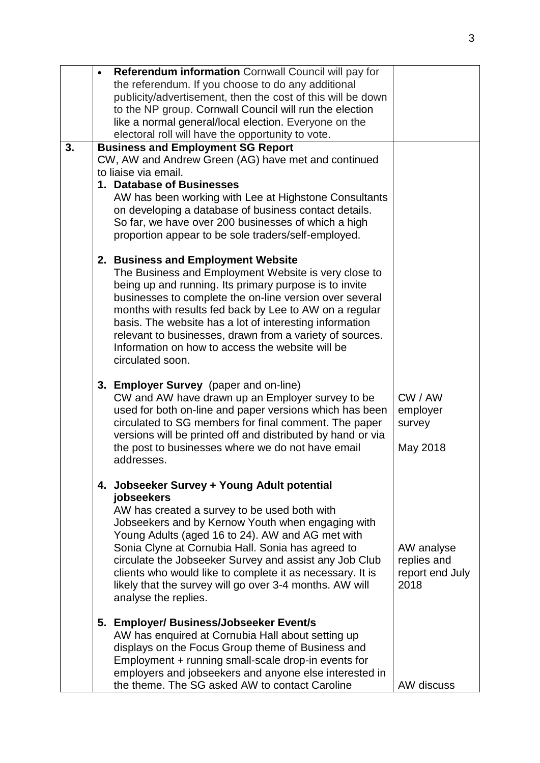|    | Referendum information Cornwall Council will pay for<br>the referendum. If you choose to do any additional                                                                                                                                                                                                                                                                                                                                                                        |                                                      |
|----|-----------------------------------------------------------------------------------------------------------------------------------------------------------------------------------------------------------------------------------------------------------------------------------------------------------------------------------------------------------------------------------------------------------------------------------------------------------------------------------|------------------------------------------------------|
|    | publicity/advertisement, then the cost of this will be down<br>to the NP group. Cornwall Council will run the election                                                                                                                                                                                                                                                                                                                                                            |                                                      |
|    | like a normal general/local election. Everyone on the<br>electoral roll will have the opportunity to vote.                                                                                                                                                                                                                                                                                                                                                                        |                                                      |
| 3. | <b>Business and Employment SG Report</b><br>CW, AW and Andrew Green (AG) have met and continued<br>to liaise via email.<br>1. Database of Businesses<br>AW has been working with Lee at Highstone Consultants<br>on developing a database of business contact details.<br>So far, we have over 200 businesses of which a high<br>proportion appear to be sole traders/self-employed.                                                                                              |                                                      |
|    | 2. Business and Employment Website<br>The Business and Employment Website is very close to<br>being up and running. Its primary purpose is to invite<br>businesses to complete the on-line version over several<br>months with results fed back by Lee to AW on a regular<br>basis. The website has a lot of interesting information<br>relevant to businesses, drawn from a variety of sources.<br>Information on how to access the website will be<br>circulated soon.          |                                                      |
|    | 3. Employer Survey (paper and on-line)<br>CW and AW have drawn up an Employer survey to be<br>used for both on-line and paper versions which has been<br>circulated to SG members for final comment. The paper<br>versions will be printed off and distributed by hand or via<br>the post to businesses where we do not have email<br>addresses.                                                                                                                                  | CW / AW<br>employer<br>survey<br>May 2018            |
|    | 4. Jobseeker Survey + Young Adult potential<br>jobseekers<br>AW has created a survey to be used both with<br>Jobseekers and by Kernow Youth when engaging with<br>Young Adults (aged 16 to 24). AW and AG met with<br>Sonia Clyne at Cornubia Hall. Sonia has agreed to<br>circulate the Jobseeker Survey and assist any Job Club<br>clients who would like to complete it as necessary. It is<br>likely that the survey will go over 3-4 months. AW will<br>analyse the replies. | AW analyse<br>replies and<br>report end July<br>2018 |
|    | 5. Employer/ Business/Jobseeker Event/s<br>AW has enquired at Cornubia Hall about setting up<br>displays on the Focus Group theme of Business and<br>Employment + running small-scale drop-in events for<br>employers and jobseekers and anyone else interested in<br>the theme. The SG asked AW to contact Caroline                                                                                                                                                              | AW discuss                                           |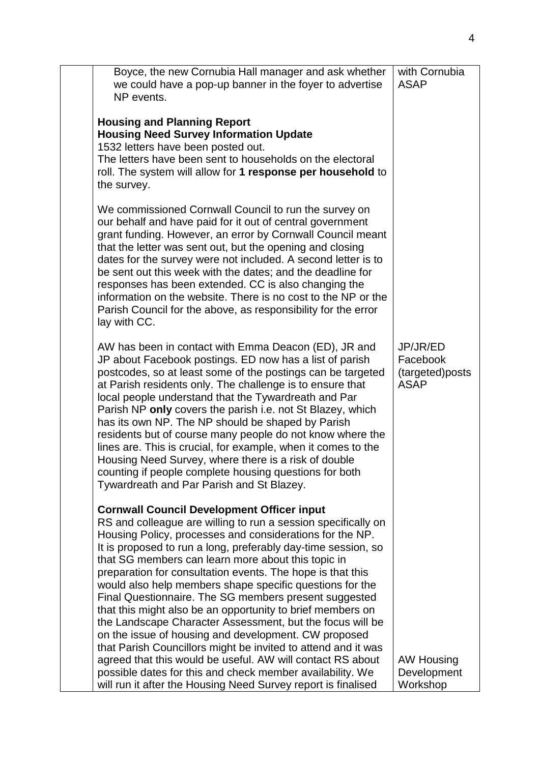| Boyce, the new Cornubia Hall manager and ask whether<br>we could have a pop-up banner in the foyer to advertise<br>NP events.                                                                                                                                                                                                                                                                                                                                                                                                                                                                                                                                                                                                                                                                              | with Cornubia<br><b>ASAP</b>                           |
|------------------------------------------------------------------------------------------------------------------------------------------------------------------------------------------------------------------------------------------------------------------------------------------------------------------------------------------------------------------------------------------------------------------------------------------------------------------------------------------------------------------------------------------------------------------------------------------------------------------------------------------------------------------------------------------------------------------------------------------------------------------------------------------------------------|--------------------------------------------------------|
| <b>Housing and Planning Report</b><br><b>Housing Need Survey Information Update</b><br>1532 letters have been posted out.<br>The letters have been sent to households on the electoral<br>roll. The system will allow for 1 response per household to<br>the survey.                                                                                                                                                                                                                                                                                                                                                                                                                                                                                                                                       |                                                        |
| We commissioned Cornwall Council to run the survey on<br>our behalf and have paid for it out of central government<br>grant funding. However, an error by Cornwall Council meant<br>that the letter was sent out, but the opening and closing<br>dates for the survey were not included. A second letter is to<br>be sent out this week with the dates; and the deadline for<br>responses has been extended. CC is also changing the<br>information on the website. There is no cost to the NP or the<br>Parish Council for the above, as responsibility for the error<br>lay with CC.                                                                                                                                                                                                                     |                                                        |
| AW has been in contact with Emma Deacon (ED), JR and<br>JP about Facebook postings. ED now has a list of parish<br>postcodes, so at least some of the postings can be targeted<br>at Parish residents only. The challenge is to ensure that<br>local people understand that the Tywardreath and Par<br>Parish NP only covers the parish i.e. not St Blazey, which<br>has its own NP. The NP should be shaped by Parish<br>residents but of course many people do not know where the<br>lines are. This is crucial, for example, when it comes to the<br>Housing Need Survey, where there is a risk of double<br>counting if people complete housing questions for both<br>Tywardreath and Par Parish and St Blazey.                                                                                        | JP/JR/ED<br>Facebook<br>(targeted)posts<br><b>ASAP</b> |
| <b>Cornwall Council Development Officer input</b><br>RS and colleague are willing to run a session specifically on<br>Housing Policy, processes and considerations for the NP.<br>It is proposed to run a long, preferably day-time session, so<br>that SG members can learn more about this topic in<br>preparation for consultation events. The hope is that this<br>would also help members shape specific questions for the<br>Final Questionnaire. The SG members present suggested<br>that this might also be an opportunity to brief members on<br>the Landscape Character Assessment, but the focus will be<br>on the issue of housing and development. CW proposed<br>that Parish Councillors might be invited to attend and it was<br>agreed that this would be useful. AW will contact RS about |                                                        |
| possible dates for this and check member availability. We<br>will run it after the Housing Need Survey report is finalised                                                                                                                                                                                                                                                                                                                                                                                                                                                                                                                                                                                                                                                                                 | AW Housing<br>Development<br>Workshop                  |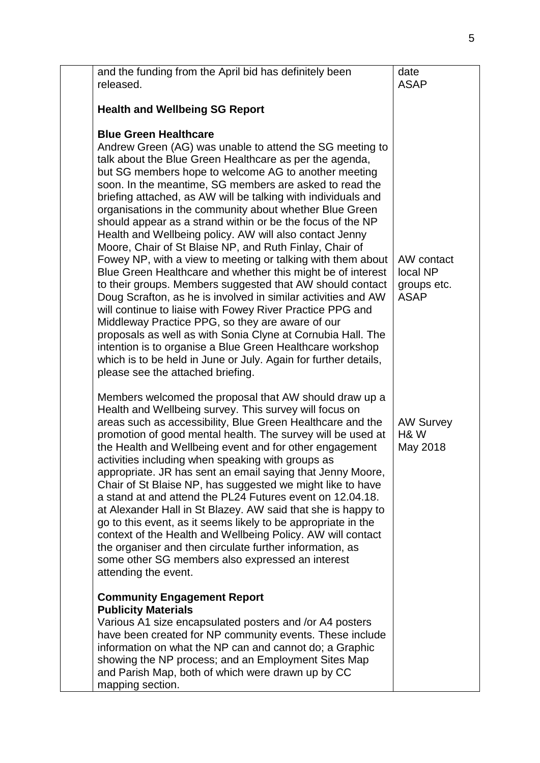| and the funding from the April bid has definitely been<br>released.                                                                                                                                                                                                                                                                                                                                                                                                                                                                                                                                                                                                                                                                                                                                                                                                                                                                                                                                                                                                                                                                                                                                     | date<br><b>ASAP</b>                                  |
|---------------------------------------------------------------------------------------------------------------------------------------------------------------------------------------------------------------------------------------------------------------------------------------------------------------------------------------------------------------------------------------------------------------------------------------------------------------------------------------------------------------------------------------------------------------------------------------------------------------------------------------------------------------------------------------------------------------------------------------------------------------------------------------------------------------------------------------------------------------------------------------------------------------------------------------------------------------------------------------------------------------------------------------------------------------------------------------------------------------------------------------------------------------------------------------------------------|------------------------------------------------------|
| <b>Health and Wellbeing SG Report</b>                                                                                                                                                                                                                                                                                                                                                                                                                                                                                                                                                                                                                                                                                                                                                                                                                                                                                                                                                                                                                                                                                                                                                                   |                                                      |
| <b>Blue Green Healthcare</b><br>Andrew Green (AG) was unable to attend the SG meeting to<br>talk about the Blue Green Healthcare as per the agenda,<br>but SG members hope to welcome AG to another meeting<br>soon. In the meantime, SG members are asked to read the<br>briefing attached, as AW will be talking with individuals and<br>organisations in the community about whether Blue Green<br>should appear as a strand within or be the focus of the NP<br>Health and Wellbeing policy. AW will also contact Jenny<br>Moore, Chair of St Blaise NP, and Ruth Finlay, Chair of<br>Fowey NP, with a view to meeting or talking with them about<br>Blue Green Healthcare and whether this might be of interest<br>to their groups. Members suggested that AW should contact<br>Doug Scrafton, as he is involved in similar activities and AW<br>will continue to liaise with Fowey River Practice PPG and<br>Middleway Practice PPG, so they are aware of our<br>proposals as well as with Sonia Clyne at Cornubia Hall. The<br>intention is to organise a Blue Green Healthcare workshop<br>which is to be held in June or July. Again for further details,<br>please see the attached briefing. | AW contact<br>local NP<br>groups etc.<br><b>ASAP</b> |
| Members welcomed the proposal that AW should draw up a<br>Health and Wellbeing survey. This survey will focus on<br>areas such as accessibility, Blue Green Healthcare and the<br>promotion of good mental health. The survey will be used at<br>the Health and Wellbeing event and for other engagement<br>activities including when speaking with groups as<br>appropriate. JR has sent an email saying that Jenny Moore,<br>Chair of St Blaise NP, has suggested we might like to have<br>a stand at and attend the PL24 Futures event on 12.04.18.<br>at Alexander Hall in St Blazey. AW said that she is happy to<br>go to this event, as it seems likely to be appropriate in the<br>context of the Health and Wellbeing Policy. AW will contact<br>the organiser and then circulate further information, as<br>some other SG members also expressed an interest<br>attending the event.                                                                                                                                                                                                                                                                                                          | <b>AW Survey</b><br><b>H&amp;W</b><br>May 2018       |
| <b>Community Engagement Report</b><br><b>Publicity Materials</b><br>Various A1 size encapsulated posters and /or A4 posters<br>have been created for NP community events. These include<br>information on what the NP can and cannot do; a Graphic<br>showing the NP process; and an Employment Sites Map<br>and Parish Map, both of which were drawn up by CC<br>mapping section.                                                                                                                                                                                                                                                                                                                                                                                                                                                                                                                                                                                                                                                                                                                                                                                                                      |                                                      |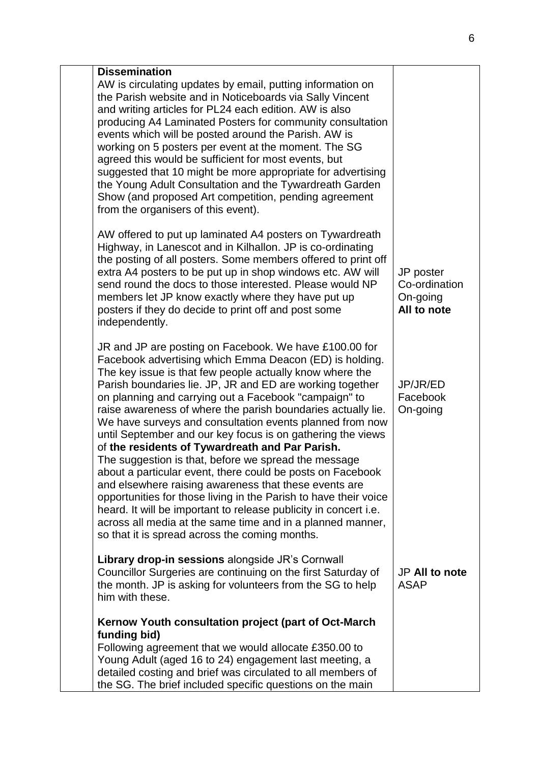| <b>Dissemination</b><br>AW is circulating updates by email, putting information on<br>the Parish website and in Noticeboards via Sally Vincent<br>and writing articles for PL24 each edition. AW is also<br>producing A4 Laminated Posters for community consultation<br>events which will be posted around the Parish. AW is<br>working on 5 posters per event at the moment. The SG<br>agreed this would be sufficient for most events, but<br>suggested that 10 might be more appropriate for advertising<br>the Young Adult Consultation and the Tywardreath Garden<br>Show (and proposed Art competition, pending agreement<br>from the organisers of this event).                                                                                                                                                                                                                                                                                                                  |                                                       |
|------------------------------------------------------------------------------------------------------------------------------------------------------------------------------------------------------------------------------------------------------------------------------------------------------------------------------------------------------------------------------------------------------------------------------------------------------------------------------------------------------------------------------------------------------------------------------------------------------------------------------------------------------------------------------------------------------------------------------------------------------------------------------------------------------------------------------------------------------------------------------------------------------------------------------------------------------------------------------------------|-------------------------------------------------------|
| AW offered to put up laminated A4 posters on Tywardreath<br>Highway, in Lanescot and in Kilhallon. JP is co-ordinating<br>the posting of all posters. Some members offered to print off<br>extra A4 posters to be put up in shop windows etc. AW will<br>send round the docs to those interested. Please would NP<br>members let JP know exactly where they have put up<br>posters if they do decide to print off and post some<br>independently.                                                                                                                                                                                                                                                                                                                                                                                                                                                                                                                                        | JP poster<br>Co-ordination<br>On-going<br>All to note |
| JR and JP are posting on Facebook. We have £100.00 for<br>Facebook advertising which Emma Deacon (ED) is holding.<br>The key issue is that few people actually know where the<br>Parish boundaries lie. JP, JR and ED are working together<br>on planning and carrying out a Facebook "campaign" to<br>raise awareness of where the parish boundaries actually lie.<br>We have surveys and consultation events planned from now<br>until September and our key focus is on gathering the views<br>of the residents of Tywardreath and Par Parish.<br>The suggestion is that, before we spread the message<br>about a particular event, there could be posts on Facebook<br>and elsewhere raising awareness that these events are<br>opportunities for those living in the Parish to have their voice<br>heard. It will be important to release publicity in concert i.e.<br>across all media at the same time and in a planned manner,<br>so that it is spread across the coming months. | JP/JR/ED<br>Facebook<br>On-going                      |
| Library drop-in sessions alongside JR's Cornwall<br>Councillor Surgeries are continuing on the first Saturday of<br>the month. JP is asking for volunteers from the SG to help<br>him with these.                                                                                                                                                                                                                                                                                                                                                                                                                                                                                                                                                                                                                                                                                                                                                                                        | JP All to note<br><b>ASAP</b>                         |
| Kernow Youth consultation project (part of Oct-March<br>funding bid)<br>Following agreement that we would allocate £350.00 to<br>Young Adult (aged 16 to 24) engagement last meeting, a<br>detailed costing and brief was circulated to all members of<br>the SG. The brief included specific questions on the main                                                                                                                                                                                                                                                                                                                                                                                                                                                                                                                                                                                                                                                                      |                                                       |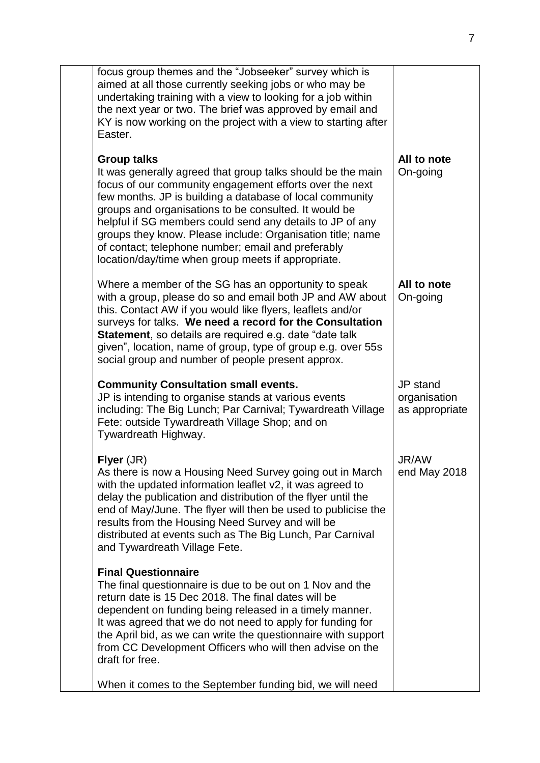| focus group themes and the "Jobseeker" survey which is<br>aimed at all those currently seeking jobs or who may be<br>undertaking training with a view to looking for a job within<br>the next year or two. The brief was approved by email and<br>KY is now working on the project with a view to starting after<br>Easter.                                                                                                                                                                              |                                            |
|----------------------------------------------------------------------------------------------------------------------------------------------------------------------------------------------------------------------------------------------------------------------------------------------------------------------------------------------------------------------------------------------------------------------------------------------------------------------------------------------------------|--------------------------------------------|
| <b>Group talks</b><br>It was generally agreed that group talks should be the main<br>focus of our community engagement efforts over the next<br>few months. JP is building a database of local community<br>groups and organisations to be consulted. It would be<br>helpful if SG members could send any details to JP of any<br>groups they know. Please include: Organisation title; name<br>of contact; telephone number; email and preferably<br>location/day/time when group meets if appropriate. | All to note<br>On-going                    |
| Where a member of the SG has an opportunity to speak<br>with a group, please do so and email both JP and AW about<br>this. Contact AW if you would like flyers, leaflets and/or<br>surveys for talks. We need a record for the Consultation<br><b>Statement, so details are required e.g. date "date talk</b><br>given", location, name of group, type of group e.g. over 55s<br>social group and number of people present approx.                                                                       | All to note<br>On-going                    |
| <b>Community Consultation small events.</b><br>JP is intending to organise stands at various events<br>including: The Big Lunch; Par Carnival; Tywardreath Village<br>Fete: outside Tywardreath Village Shop; and on<br>Tywardreath Highway.                                                                                                                                                                                                                                                             | JP stand<br>organisation<br>as appropriate |
| Flyer (JR)<br>As there is now a Housing Need Survey going out in March<br>with the updated information leaflet v2, it was agreed to<br>delay the publication and distribution of the flyer until the<br>end of May/June. The flyer will then be used to publicise the<br>results from the Housing Need Survey and will be<br>distributed at events such as The Big Lunch, Par Carnival<br>and Tywardreath Village Fete.                                                                                  | JR/AW<br>end May 2018                      |
| <b>Final Questionnaire</b><br>The final questionnaire is due to be out on 1 Nov and the<br>return date is 15 Dec 2018. The final dates will be<br>dependent on funding being released in a timely manner.<br>It was agreed that we do not need to apply for funding for<br>the April bid, as we can write the questionnaire with support<br>from CC Development Officers who will then advise on the<br>draft for free.                                                                                  |                                            |
| When it comes to the September funding bid, we will need                                                                                                                                                                                                                                                                                                                                                                                                                                                 |                                            |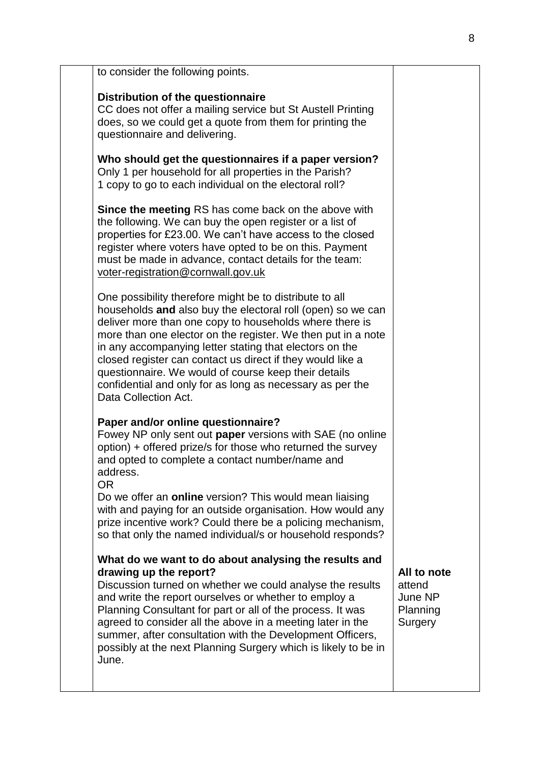| to consider the following points.                                                                                                                                                                                                                                                                                                                                                                                                                                                                                       |                                                         |
|-------------------------------------------------------------------------------------------------------------------------------------------------------------------------------------------------------------------------------------------------------------------------------------------------------------------------------------------------------------------------------------------------------------------------------------------------------------------------------------------------------------------------|---------------------------------------------------------|
| Distribution of the questionnaire<br>CC does not offer a mailing service but St Austell Printing<br>does, so we could get a quote from them for printing the<br>questionnaire and delivering.                                                                                                                                                                                                                                                                                                                           |                                                         |
| Who should get the questionnaires if a paper version?<br>Only 1 per household for all properties in the Parish?<br>1 copy to go to each individual on the electoral roll?                                                                                                                                                                                                                                                                                                                                               |                                                         |
| <b>Since the meeting RS has come back on the above with</b><br>the following. We can buy the open register or a list of<br>properties for £23.00. We can't have access to the closed<br>register where voters have opted to be on this. Payment<br>must be made in advance, contact details for the team:<br>voter-registration@cornwall.gov.uk                                                                                                                                                                         |                                                         |
| One possibility therefore might be to distribute to all<br>households and also buy the electoral roll (open) so we can<br>deliver more than one copy to households where there is<br>more than one elector on the register. We then put in a note<br>in any accompanying letter stating that electors on the<br>closed register can contact us direct if they would like a<br>questionnaire. We would of course keep their details<br>confidential and only for as long as necessary as per the<br>Data Collection Act. |                                                         |
| Paper and/or online questionnaire?<br>Fowey NP only sent out paper versions with SAE (no online<br>option) + offered prize/s for those who returned the survey<br>and opted to complete a contact number/name and<br>address.<br><b>OR</b><br>Do we offer an <b>online</b> version? This would mean liaising<br>with and paying for an outside organisation. How would any<br>prize incentive work? Could there be a policing mechanism,<br>so that only the named individual/s or household responds?                  |                                                         |
| What do we want to do about analysing the results and<br>drawing up the report?<br>Discussion turned on whether we could analyse the results<br>and write the report ourselves or whether to employ a<br>Planning Consultant for part or all of the process. It was<br>agreed to consider all the above in a meeting later in the<br>summer, after consultation with the Development Officers,<br>possibly at the next Planning Surgery which is likely to be in<br>June.                                               | All to note<br>attend<br>June NP<br>Planning<br>Surgery |